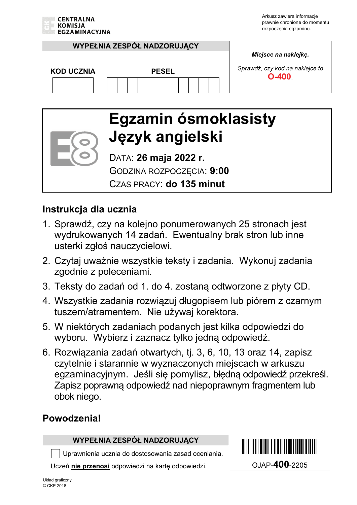

#### **WYPEŁNIA ZESPÓŁ NADZORUJĄCY**

*Miejsce na naklejkę.* 

*Sprawdź, czy kod na naklejce to*  **COD UCZNIA PESEL** PESEL PESEL **D**-400.

# **Egzamin ósmoklasisty Język angielski**

DATA: **26 maja 2022 r.** GODZINA ROZPOCZĘCIA: **9:00** 

CZAS PRACY: **do 135 minut**

#### **Instrukcja dla ucznia**

- 1. Sprawdź, czy na kolejno ponumerowanych 25 stronach jest wydrukowanych 14 zadań. Ewentualny brak stron lub inne usterki zgłoś nauczycielowi.
- 2. Czytaj uważnie wszystkie teksty i zadania. Wykonuj zadania zgodnie z poleceniami.
- 3. Teksty do zadań od 1. do 4. zostaną odtworzone z płyty CD.
- 4. Wszystkie zadania rozwiązuj długopisem lub piórem z czarnym tuszem/atramentem. Nie używaj korektora.
- 5. W niektórych zadaniach podanych jest kilka odpowiedzi do wyboru. Wybierz i zaznacz tylko jedną odpowiedź.
- 6. Rozwiązania zadań otwartych, tj. 3, 6, 10, 13 oraz 14, zapisz czytelnie i starannie w wyznaczonych miejscach w arkuszu egzaminacyjnym. Jeśli się pomylisz, błędną odpowiedź przekreśl. Zapisz poprawną odpowiedź nad niepoprawnym fragmentem lub obok niego.

#### **Powodzenia!**

#### **WYPEŁNIA ZESPÓŁ NADZORUJĄCY**

Uprawnienia ucznia do dostosowania zasad oceniania.

Uczeń **nie przenosi** odpowiedzi na kartę odpowiedzi. OJAP-**400**-2205

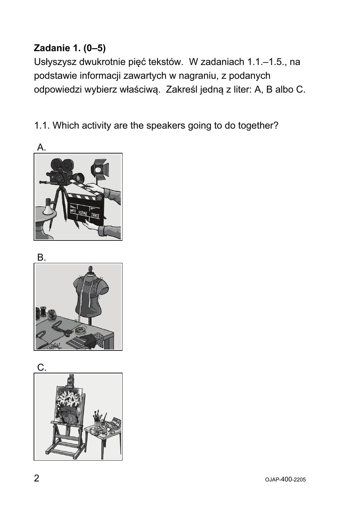# **Zadanie 1. (0–5)**

Usłyszysz dwukrotnie pięć tekstów. W zadaniach 1.1.–1.5., na podstawie informacji zawartych w nagraniu, z podanych odpowiedzi wybierz właściwą. Zakreśl jedną z liter: A, B albo C.

1.1. Which activity are the speakers going to do together?



B.

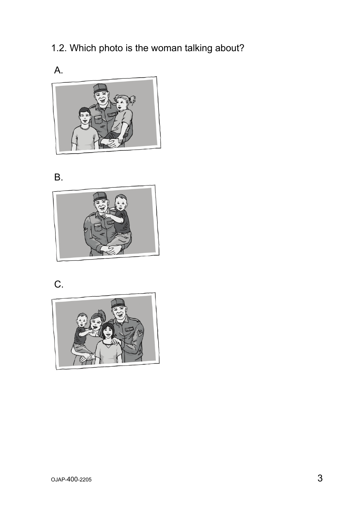1.2. Which photo is the woman talking about?



#### B.



# C.

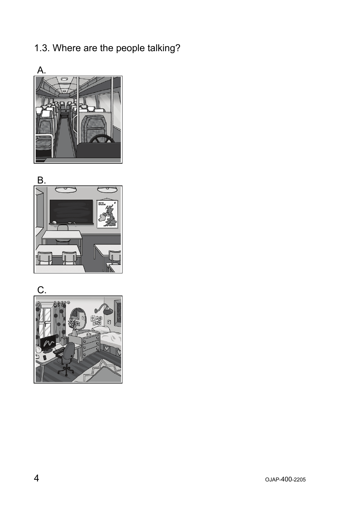# 1.3. Where are the people talking?





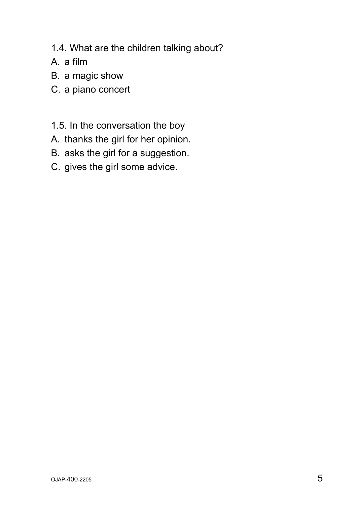- 1.4. What are the children talking about?
- A. a film
- B. a magic show
- C. a piano concert
- 1.5. In the conversation the boy
- A. thanks the girl for her opinion.
- B. asks the girl for a suggestion.
- C. gives the girl some advice.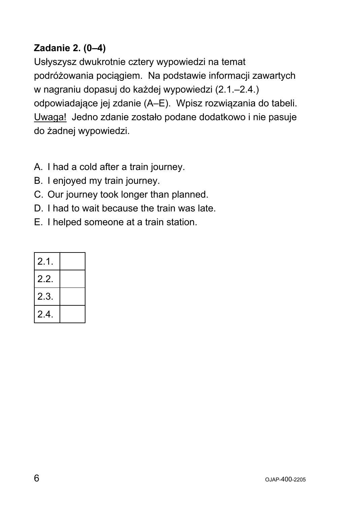## **Zadanie 2. (0–4)**

Usłyszysz dwukrotnie cztery wypowiedzi na temat podróżowania pociągiem. Na podstawie informacji zawartych w nagraniu dopasuj do każdej wypowiedzi (2.1.–2.4.) odpowiadające jej zdanie (A–E). Wpisz rozwiązania do tabeli. Uwaga! Jedno zdanie zostało podane dodatkowo i nie pasuje do żadnej wypowiedzi.

- A. I had a cold after a train journey.
- B. I enjoyed my train journey.
- C. Our journey took longer than planned.
- D. I had to wait because the train was late.
- E. I helped someone at a train station.

| 2.1. |  |
|------|--|
| 2.2. |  |
| 2.3. |  |
| 2.4  |  |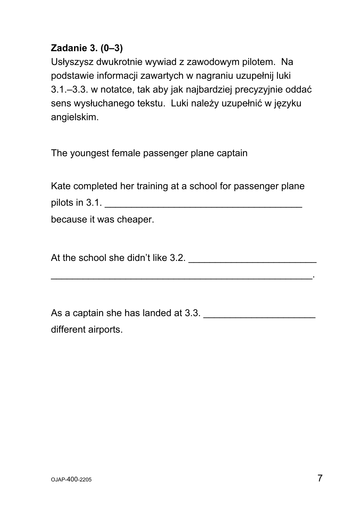#### **Zadanie 3. (0–3)**

Usłyszysz dwukrotnie wywiad z zawodowym pilotem. Na podstawie informacji zawartych w nagraniu uzupełnij luki 3.1.–3.3. w notatce, tak aby jak najbardziej precyzyjnie oddać sens wysłuchanego tekstu. Luki należy uzupełnić w języku angielskim.

The youngest female passenger plane captain

Kate completed her training at a school for passenger plane pilots in 3.1. \_\_\_\_\_\_\_\_\_\_\_\_\_\_\_\_\_\_\_\_\_\_\_\_\_\_\_\_\_\_\_\_\_\_\_\_\_

because it was cheaper.

At the school she didn't like 3.2. \_\_\_\_\_\_\_\_\_\_\_\_\_\_\_\_\_\_\_\_\_\_\_\_

 $\mathcal{L}_\text{max}$  and  $\mathcal{L}_\text{max}$  and  $\mathcal{L}_\text{max}$  and  $\mathcal{L}_\text{max}$  and  $\mathcal{L}_\text{max}$  and  $\mathcal{L}_\text{max}$ 

As a captain she has landed at 3.3. different airports.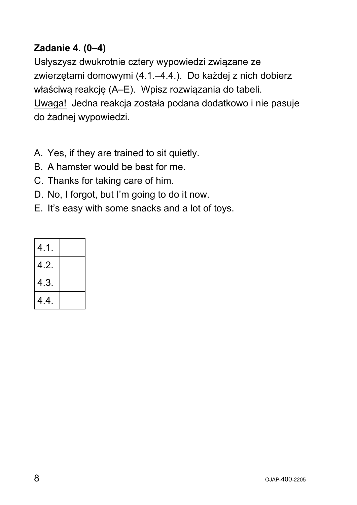## **Zadanie 4. (0–4)**

Usłyszysz dwukrotnie cztery wypowiedzi związane ze zwierzętami domowymi (4.1.–4.4.). Do każdej z nich dobierz właściwą reakcję (A–E). Wpisz rozwiązania do tabeli. Uwaga! Jedna reakcja została podana dodatkowo i nie pasuje do żadnej wypowiedzi.

- A. Yes, if they are trained to sit quietly.
- B. A hamster would be best for me.
- C. Thanks for taking care of him.
- D. No, I forgot, but I'm going to do it now.
- E. It's easy with some snacks and a lot of toys.

| 4.1. |  |
|------|--|
| 4.2. |  |
| 4.3. |  |
| 4.4. |  |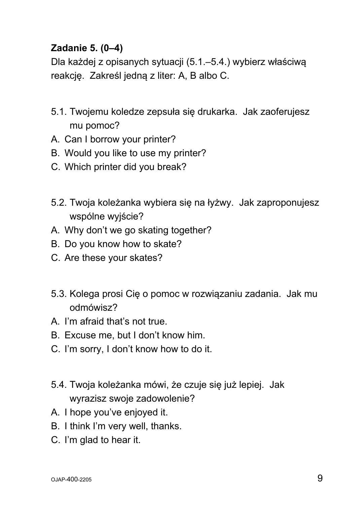#### **Zadanie 5. (0–4)**

Dla każdej z opisanych sytuacji (5.1.–5.4.) wybierz właściwą reakcję. Zakreśl jedną z liter: A, B albo C.

- 5.1. Twojemu koledze zepsuła się drukarka. Jak zaoferujesz mu pomoc?
- A. Can I borrow your printer?
- B. Would you like to use my printer?
- C. Which printer did you break?
- 5.2. Twoja koleżanka wybiera się na łyżwy. Jak zaproponujesz wspólne wyjście?
- A. Why don't we go skating together?
- B. Do you know how to skate?
- C. Are these your skates?
- 5.3. Kolega prosi Cię o pomoc w rozwiązaniu zadania. Jak mu odmówisz?
- A. I'm afraid that's not true.
- B. Excuse me, but I don't know him.
- C. I'm sorry, I don't know how to do it.
- 5.4. Twoja koleżanka mówi, że czuje się już lepiej. Jak wyrazisz swoje zadowolenie?
- A. I hope you've enjoyed it.
- B. I think I'm very well, thanks.
- C. I'm glad to hear it.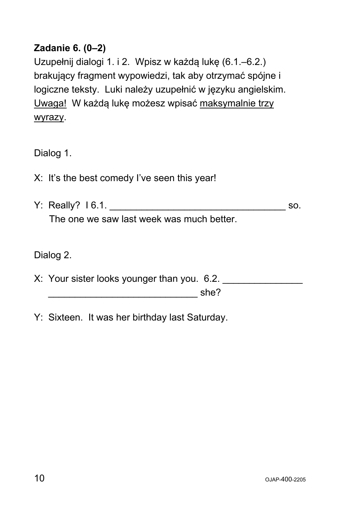#### **Zadanie 6. (0–2)**

Uzupełnij dialogi 1. i 2. Wpisz w każdą lukę (6.1.–6.2.) brakujący fragment wypowiedzi, tak aby otrzymać spójne i logiczne teksty. Luki należy uzupełnić w języku angielskim. Uwaga! W każdą lukę możesz wpisać maksymalnie trzy wyrazy.

Dialog 1.

- X: It's the best comedy I've seen this year!
- Y: Really? 16.1. The one we saw last week was much better.

Dialog 2.

- X: Your sister looks younger than you. 6.2. \_\_\_\_\_\_\_\_\_\_\_\_\_\_\_\_\_\_\_\_\_\_\_\_\_\_\_\_ she?
- Y: Sixteen. It was her birthday last Saturday.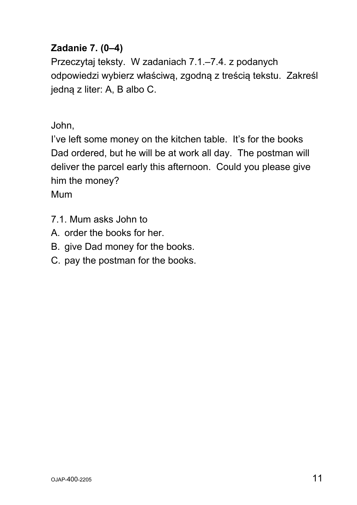## **Zadanie 7. (0–4)**

Przeczytaj teksty. W zadaniach 7.1.–7.4. z podanych odpowiedzi wybierz właściwą, zgodną z treścią tekstu. Zakreśl jedną z liter: A, B albo C.

John,

I've left some money on the kitchen table. It's for the books Dad ordered, but he will be at work all day. The postman will deliver the parcel early this afternoon. Could you please give him the money?

Mum

- 7.1. Mum asks John to
- A. order the books for her.
- B. give Dad money for the books.
- C. pay the postman for the books.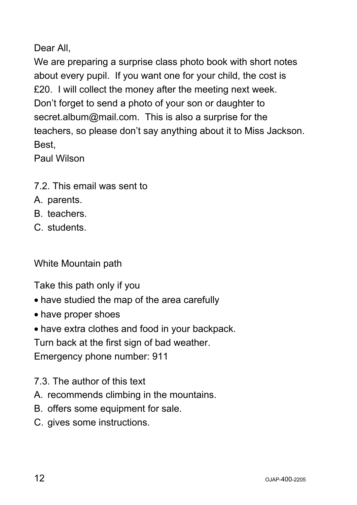Dear All,

We are preparing a surprise class photo book with short notes about every pupil. If you want one for your child, the cost is £20. I will collect the money after the meeting next week. Don't forget to send a photo of your son or daughter to secret.album@mail.com. This is also a surprise for the teachers, so please don't say anything about it to Miss Jackson. Best,

Paul Wilson

- 7.2. This email was sent to
- A. parents.
- B. teachers.
- C. students.

White Mountain path

Take this path only if you

- have studied the map of the area carefully
- have proper shoes
- have extra clothes and food in your backpack.

Turn back at the first sign of bad weather.

Emergency phone number: 911

- 7.3. The author of this text
- A. recommends climbing in the mountains.
- B. offers some equipment for sale.
- C. gives some instructions.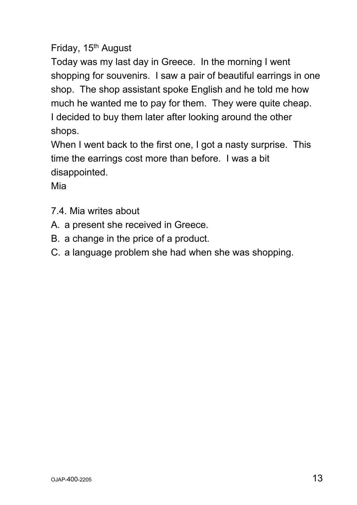## Friday, 15<sup>th</sup> August

Today was my last day in Greece. In the morning I went shopping for souvenirs. I saw a pair of beautiful earrings in one shop. The shop assistant spoke English and he told me how much he wanted me to pay for them. They were quite cheap. I decided to buy them later after looking around the other shops.

When I went back to the first one, I got a nasty surprise. This time the earrings cost more than before. I was a bit disappointed.

Mia

- 7.4. Mia writes about
- A. a present she received in Greece.
- B. a change in the price of a product.
- C. a language problem she had when she was shopping.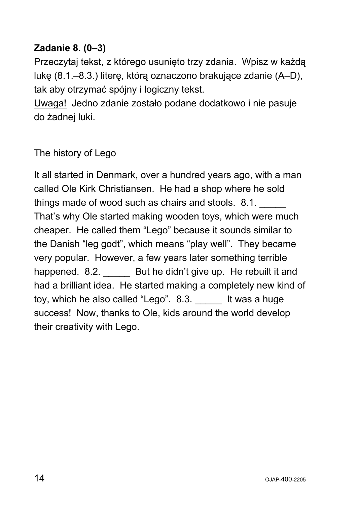#### **Zadanie 8. (0–3)**

Przeczytaj tekst, z którego usunięto trzy zdania. Wpisz w każdą lukę (8.1.–8.3.) literę, którą oznaczono brakujące zdanie (A–D), tak aby otrzymać spójny i logiczny tekst.

Uwaga! Jedno zdanie zostało podane dodatkowo i nie pasuje do żadnej luki.

#### The history of Lego

It all started in Denmark, over a hundred years ago, with a man called Ole Kirk Christiansen. He had a shop where he sold things made of wood such as chairs and stools. 8.1. That's why Ole started making wooden toys, which were much cheaper. He called them "Lego" because it sounds similar to the Danish "leg godt", which means "play well". They became very popular. However, a few years later something terrible happened. 8.2. But he didn't give up. He rebuilt it and had a brilliant idea. He started making a completely new kind of toy, which he also called "Lego". 8.3. It was a huge success! Now, thanks to Ole, kids around the world develop their creativity with Lego.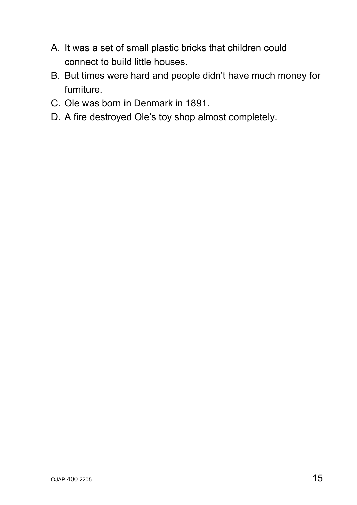- A. It was a set of small plastic bricks that children could connect to build little houses.
- B. But times were hard and people didn't have much money for furniture.
- C. Ole was born in Denmark in 1891.
- D. A fire destroyed Ole's toy shop almost completely.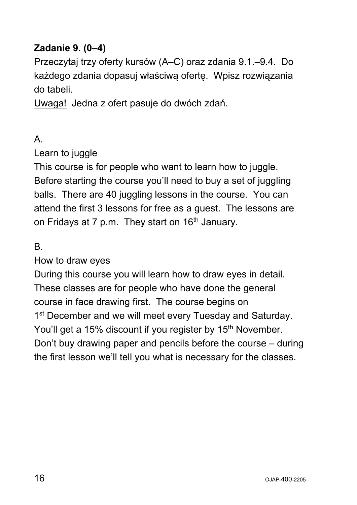#### **Zadanie 9. (0–4)**

Przeczytaj trzy oferty kursów (A–C) oraz zdania 9.1.–9.4. Do każdego zdania dopasuj właściwą ofertę. Wpisz rozwiązania do tabeli.

Uwaga! Jedna z ofert pasuje do dwóch zdań.

#### A.

Learn to juggle

This course is for people who want to learn how to juggle. Before starting the course you'll need to buy a set of juggling balls. There are 40 juggling lessons in the course. You can attend the first 3 lessons for free as a guest. The lessons are on Fridays at 7 p.m. They start on  $16<sup>th</sup>$  January.

B.

#### How to draw eyes

During this course you will learn how to draw eyes in detail. These classes are for people who have done the general course in face drawing first. The course begins on 1<sup>st</sup> December and we will meet every Tuesday and Saturday. You'll get a 15% discount if you register by 15<sup>th</sup> November. Don't buy drawing paper and pencils before the course – during the first lesson we'll tell you what is necessary for the classes.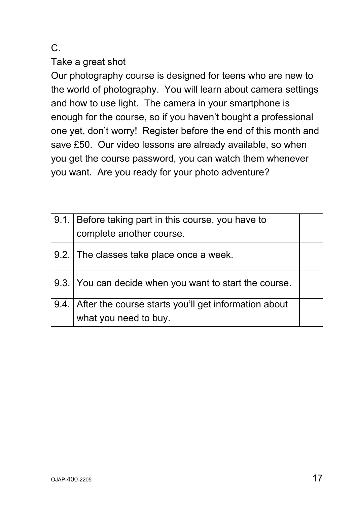#### C.

Take a great shot

Our photography course is designed for teens who are new to the world of photography. You will learn about camera settings and how to use light. The camera in your smartphone is enough for the course, so if you haven't bought a professional one yet, don't worry! Register before the end of this month and save £50. Our video lessons are already available, so when you get the course password, you can watch them whenever you want. Are you ready for your photo adventure?

| 9.1. Before taking part in this course, you have to       |  |
|-----------------------------------------------------------|--|
| complete another course.                                  |  |
| 9.2. The classes take place once a week.                  |  |
| 9.3. You can decide when you want to start the course.    |  |
| 9.4. After the course starts you'll get information about |  |
| what you need to buy.                                     |  |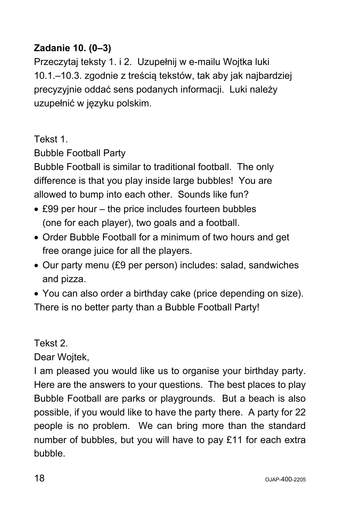## **Zadanie 10. (0–3)**

Przeczytaj teksty 1. i 2. Uzupełnij w e-mailu Wojtka luki 10.1.–10.3. zgodnie z treścią tekstów, tak aby jak najbardziej precyzyjnie oddać sens podanych informacji. Luki należy uzupełnić w języku polskim.

Tekst 1.

Bubble Football Party

Bubble Football is similar to traditional football. The only difference is that you play inside large bubbles! You are allowed to bump into each other. Sounds like fun?

- £99 per hour the price includes fourteen bubbles (one for each player), two goals and a football.
- Order Bubble Football for a minimum of two hours and get free orange juice for all the players.
- Our party menu (£9 per person) includes: salad, sandwiches and pizza.
- You can also order a birthday cake (price depending on size). There is no better party than a Bubble Football Party!

Tekst 2.

Dear Wojtek,

I am pleased you would like us to organise your birthday party. Here are the answers to your questions. The best places to play Bubble Football are parks or playgrounds. But a beach is also possible, if you would like to have the party there. A party for 22 people is no problem. We can bring more than the standard number of bubbles, but you will have to pay £11 for each extra bubble.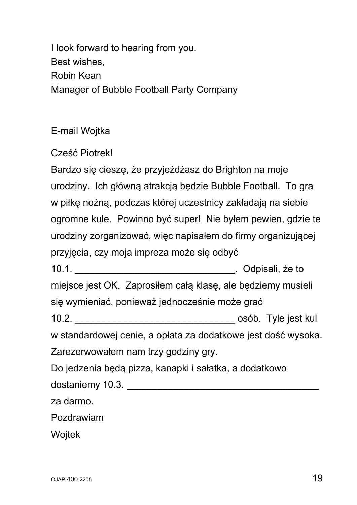I look forward to hearing from you. Best wishes, Robin Kean Manager of Bubble Football Party Company

E-mail Wojtka

Cześć Piotrek!

Bardzo się cieszę, że przyjeżdżasz do Brighton na moje urodziny. Ich główną atrakcją będzie Bubble Football. To gra w piłkę nożną, podczas której uczestnicy zakładają na siebie ogromne kule. Powinno być super! Nie byłem pewien, gdzie te urodziny zorganizować, więc napisałem do firmy organizującej przyjęcia, czy moja impreza może się odbyć

10.1. \_\_\_\_\_\_\_\_\_\_\_\_\_\_\_\_\_\_\_\_\_\_\_\_\_\_\_\_\_\_. Odpisali, że to miejsce jest OK. Zaprosiłem całą klasę, ale będziemy musieli

się wymieniać, ponieważ jednocześnie może grać

10.2. **10.2** and the state of the state of the state of the state of the state of the state of the state of the state of the state of the state of the state of the state of the state of the state of the state of the state

w standardowej cenie, a opłata za dodatkowe jest dość wysoka. Zarezerwowałem nam trzy godziny gry.

Do jedzenia będą pizza, kanapki i sałatka, a dodatkowo dostaniemy 10.3. **Exercise 10.3** and the set of the set of the set of the set of the set of the set of the set of the set of the set of the set of the set of the set of the set of the set of the set of the set of the set o

za darmo.

Pozdrawiam

Wojtek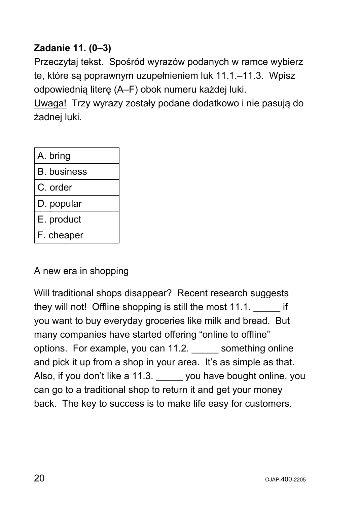# **Zadanie 11. (0–3)**

Przeczytaj tekst. Spośród wyrazów podanych w ramce wybierz te, które są poprawnym uzupełnieniem luk 11.1.–11.3. Wpisz odpowiednią literę (A–F) obok numeru każdej luki.

Uwaga! Trzy wyrazy zostały podane dodatkowo i nie pasują do żadnej luki.

| A. bring           |
|--------------------|
| <b>B.</b> business |
| C. order           |
| D. popular         |
| E. product         |
| F. cheaper         |

A new era in shopping

Will traditional shops disappear? Recent research suggests they will not! Offline shopping is still the most 11.1. **Example 11.1** you want to buy everyday groceries like milk and bread. But many companies have started offering "online to offline" options. For example, you can 11.2*.* \_\_\_\_\_ something online and pick it up from a shop in your area. It's as simple as that. Also, if you don't like a 11.3. you have bought online, you can go to a traditional shop to return it and get your money back. The key to success is to make life easy for customers.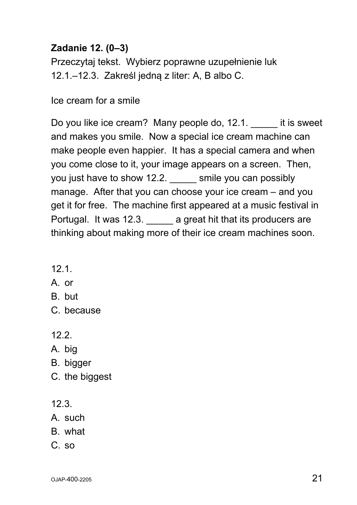#### **Zadanie 12. (0–3)**

Przeczytaj tekst. Wybierz poprawne uzupełnienie luk 12.1.–12.3. Zakreśl jedną z liter: A, B albo C.

Ice cream for a smile

Do you like ice cream? Many people do, 12.1. \_\_\_\_\_ it is sweet and makes you smile. Now a special ice cream machine can make people even happier. It has a special camera and when you come close to it, your image appears on a screen. Then, you just have to show 12.2. Smile you can possibly manage. After that you can choose your ice cream – and you get it for free. The machine first appeared at a music festival in Portugal. It was 12.3. \_\_\_\_\_\_ a great hit that its producers are thinking about making more of their ice cream machines soon.

- 12.1.
- A. or
- B. but
- C. because
- 12.2.
- A. big
- B. bigger
- C. the biggest
- 12.3.
- A. such
- B. what
- C. so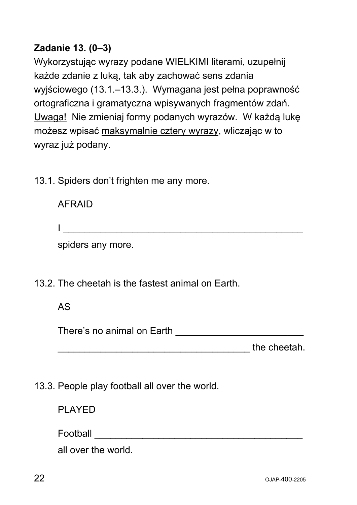#### **Zadanie 13. (0–3)**

Wykorzystując wyrazy podane WIELKIMI literami, uzupełnij każde zdanie z luką, tak aby zachować sens zdania wyjściowego (13.1.–13.3.). Wymagana jest pełna poprawność ortograficzna i gramatyczna wpisywanych fragmentów zdań. Uwaga! Nie zmieniaj formy podanych wyrazów. W każdą lukę możesz wpisać maksymalnie cztery wyrazy, wliczając w to wyraz już podany.

13.1. Spiders don't frighten me any more.

| <b>AFRAID</b>     |  |  |
|-------------------|--|--|
|                   |  |  |
| spiders any more. |  |  |

13.2. The cheetah is the fastest animal on Earth.

#### AS

| There's no animal on Earth |  |
|----------------------------|--|
|----------------------------|--|

the cheetah.

13.3. People play football all over the world.

PLAYED

Football \_\_\_\_\_\_\_\_\_\_\_\_\_\_\_\_\_\_\_\_\_\_\_\_\_\_\_\_\_\_\_\_\_\_\_\_\_\_\_

all over the world.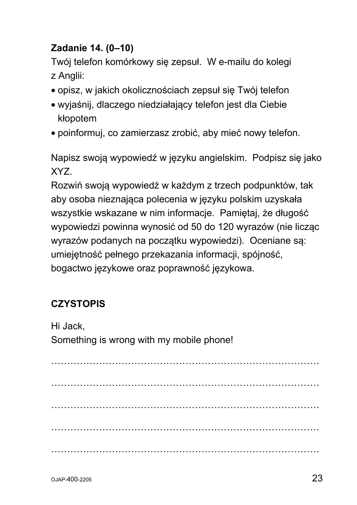# **Zadanie 14. (0–10)**

Twój telefon komórkowy się zepsuł. W e-mailu do kolegi z Anglii:

- opisz, w jakich okolicznościach zepsuł się Twój telefon
- wyjaśnij, dlaczego niedziałający telefon jest dla Ciebie kłopotem
- poinformuj, co zamierzasz zrobić, aby mieć nowy telefon.

Napisz swoją wypowiedź w języku angielskim. Podpisz się jako XYZ.

Rozwiń swoją wypowiedź w każdym z trzech podpunktów, tak aby osoba nieznająca polecenia w języku polskim uzyskała wszystkie wskazane w nim informacje. Pamiętaj, że długość wypowiedzi powinna wynosić od 50 do 120 wyrazów (nie licząc wyrazów podanych na początku wypowiedzi). Oceniane są: umiejętność pełnego przekazania informacji, spójność, bogactwo językowe oraz poprawność językowa.

# **CZYSTOPIS**

Hi Jack,

Something is wrong with my mobile phone!

………………………………………………………………………… ………………………………………………………………………… ………………………………………………………………………… ………………………………………………………………………… …………………………………………………………………………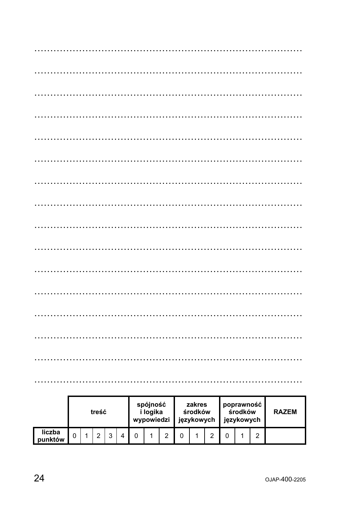|                   | treść |  |   |   |  | spójność<br>i logika<br>wypowiedzi |  |   | zakres<br>środków<br>językowych |  | poprawność<br>środków<br>językowych |  |  | <b>RAZEM</b> |  |
|-------------------|-------|--|---|---|--|------------------------------------|--|---|---------------------------------|--|-------------------------------------|--|--|--------------|--|
| liczba<br>punktów |       |  | ⌒ | ⌒ |  |                                    |  | C |                                 |  |                                     |  |  | റ            |  |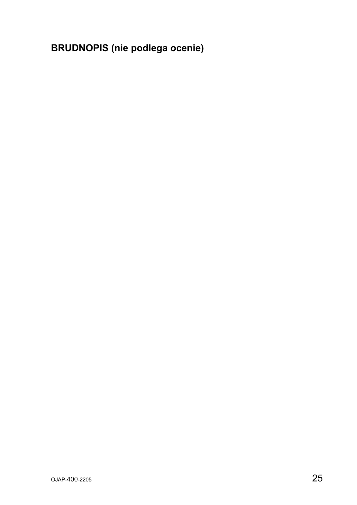**BRUDNOPIS (nie podlega ocenie)**